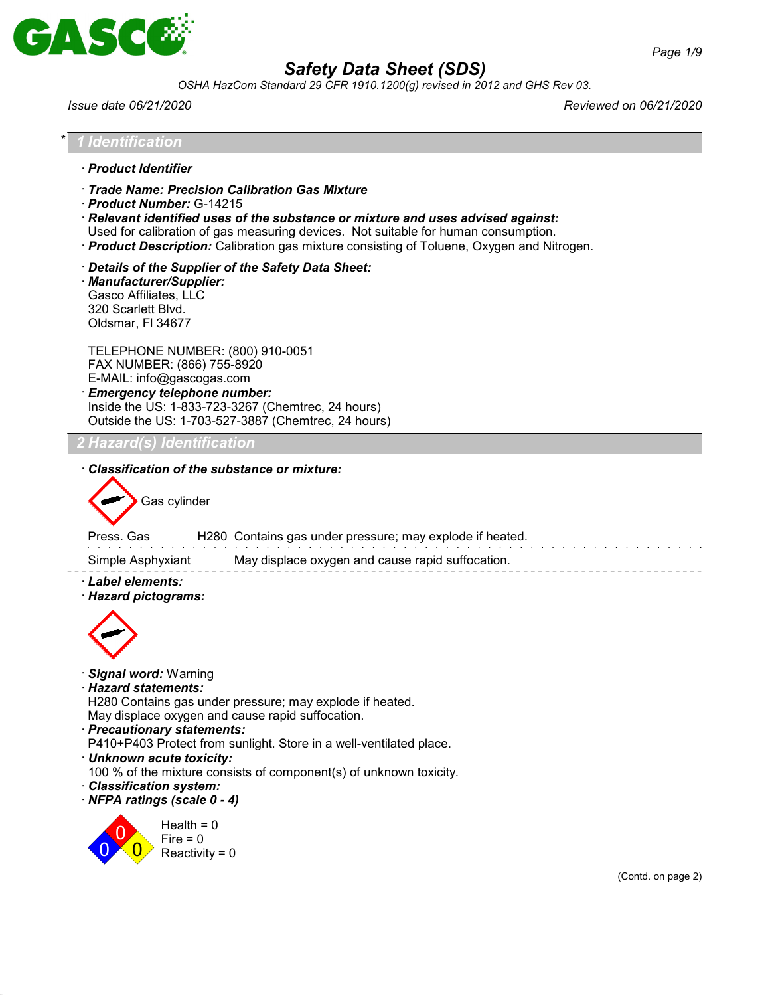

*OSHA HazCom Standard 29 CFR 1910.1200(g) revised in 2012 and GHS Rev 03.*

*Issue date 06/21/2020 Reviewed on 06/21/2020*

| 1 Identification                                                                                                                                                                                                                                                                                                                                                                                                                   |                    |
|------------------------------------------------------------------------------------------------------------------------------------------------------------------------------------------------------------------------------------------------------------------------------------------------------------------------------------------------------------------------------------------------------------------------------------|--------------------|
| · Product Identifier                                                                                                                                                                                                                                                                                                                                                                                                               |                    |
| Trade Name: Precision Calibration Gas Mixture<br>· Product Number: G-14215<br>$\cdot$ Relevant identified uses of the substance or mixture and uses advised against:<br>Used for calibration of gas measuring devices. Not suitable for human consumption.<br>· Product Description: Calibration gas mixture consisting of Toluene, Oxygen and Nitrogen.                                                                           |                    |
| Details of the Supplier of the Safety Data Sheet:<br>· Manufacturer/Supplier:<br>Gasco Affiliates, LLC<br>320 Scarlett Blvd.<br>Oldsmar, FI 34677                                                                                                                                                                                                                                                                                  |                    |
| TELEPHONE NUMBER: (800) 910-0051<br>FAX NUMBER: (866) 755-8920<br>E-MAIL: info@gascogas.com<br>· Emergency telephone number:<br>Inside the US: 1-833-723-3267 (Chemtrec, 24 hours)<br>Outside the US: 1-703-527-3887 (Chemtrec, 24 hours)                                                                                                                                                                                          |                    |
|                                                                                                                                                                                                                                                                                                                                                                                                                                    |                    |
| Gas cylinder<br>H280 Contains gas under pressure; may explode if heated.<br>Press, Gas<br>May displace oxygen and cause rapid suffocation.<br>Simple Asphyxiant<br>· Label elements:<br>· Hazard pictograms:                                                                                                                                                                                                                       |                    |
| · Signal word: Warning<br>· Hazard statements:<br>H280 Contains gas under pressure; may explode if heated.<br>May displace oxygen and cause rapid suffocation.<br>· Precautionary statements:<br>P410+P403 Protect from sunlight. Store in a well-ventilated place.<br>· Unknown acute toxicity:<br>100 % of the mixture consists of component(s) of unknown toxicity.<br>· Classification system:<br>· NFPA ratings (scale 0 - 4) |                    |
| Health $= 0$<br>$Fire = 0$<br>Reactivity = $0$                                                                                                                                                                                                                                                                                                                                                                                     | (Contd. on page 2) |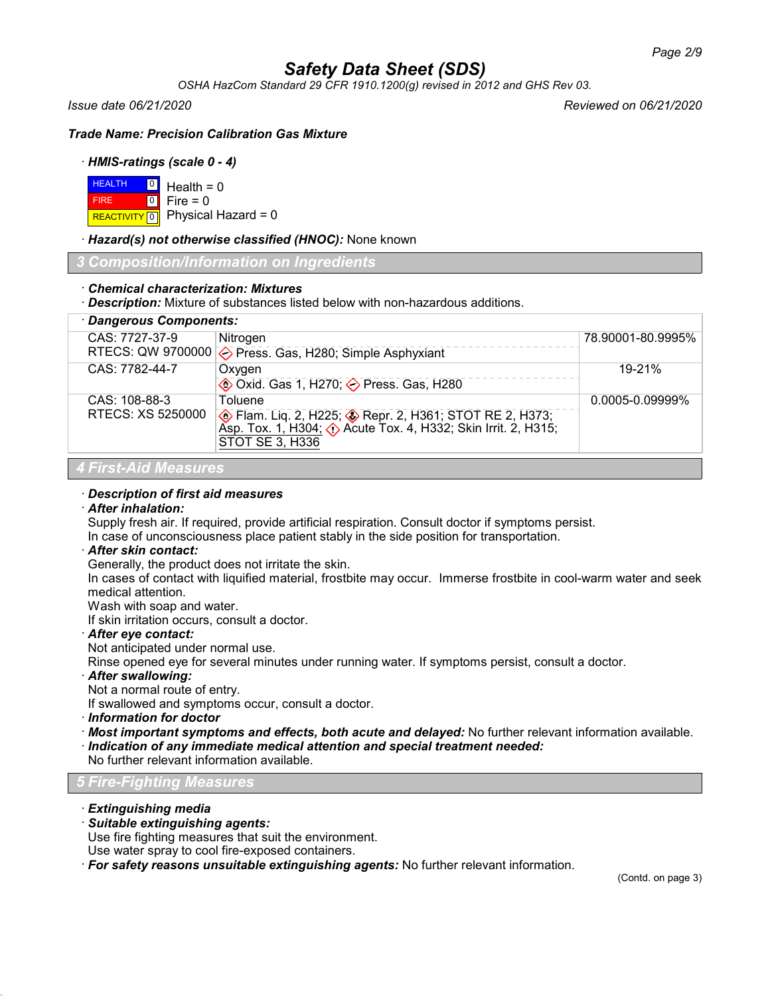*OSHA HazCom Standard 29 CFR 1910.1200(g) revised in 2012 and GHS Rev 03.*

*Issue date 06/21/2020 Reviewed on 06/21/2020*

*Trade Name: Precision Calibration Gas Mixture*

### · *HMIS-ratings (scale 0 - 4)*

| $H = 0$ Health = 0 |                                      |
|--------------------|--------------------------------------|
| <b>FIRE</b>        | $\textcolor{blue}{\bullet}$ Fire = 0 |
|                    | REACTIVITY 0 Physical Hazard = 0     |

· *Hazard(s) not otherwise classified (HNOC):* None known

*3 Composition/Information on Ingredients*

### · *Chemical characterization: Mixtures*

· *Description:* Mixture of substances listed below with non-hazardous additions.

| · Dangerous Components:     |                                                                                                                                                  |                      |
|-----------------------------|--------------------------------------------------------------------------------------------------------------------------------------------------|----------------------|
| CAS: 7727-37-9              | Nitrogen                                                                                                                                         | 78.90001-80.9995%    |
|                             | RTECS: QW 9700000 $\diamondsuit$ Press. Gas, H280; Simple Asphyxiant                                                                             |                      |
| CAS: 7782-44-7              | Oxygen                                                                                                                                           | $19 - 21%$           |
|                             | <b>♦ Oxid. Gas 1, H270; ♦ Press. Gas, H280</b>                                                                                                   |                      |
| CAS: 108-88-3               | Toluene                                                                                                                                          | $0.0005 - 0.09999\%$ |
| RTECS: XS 5250000           | <b> A</b> Flam. Liq. 2, H225; <b>A</b> Repr. 2, H361; STOT RE 2, H373;<br>Asp. Tox. 1, H304; <b>(</b> ) Acute Tox. 4, H332; Skin Irrit. 2, H315; |                      |
|                             |                                                                                                                                                  |                      |
|                             | <b>STOT SE 3, H336</b>                                                                                                                           |                      |
| <b>4 First-Aid Measures</b> |                                                                                                                                                  |                      |

### · *Description of first aid measures*

### · *After inhalation:*

Supply fresh air. If required, provide artificial respiration. Consult doctor if symptoms persist.

## In case of unconsciousness place patient stably in the side position for transportation.

### · *After skin contact:*

Generally, the product does not irritate the skin.

In cases of contact with liquified material, frostbite may occur. Immerse frostbite in cool-warm water and seek medical attention.

Wash with soap and water.

If skin irritation occurs, consult a doctor.

### · *After eye contact:*

Not anticipated under normal use.

Rinse opened eye for several minutes under running water. If symptoms persist, consult a doctor.

### · *After swallowing:*

Not a normal route of entry.

If swallowed and symptoms occur, consult a doctor.

· *Information for doctor*

· *Most important symptoms and effects, both acute and delayed:* No further relevant information available. · *Indication of any immediate medical attention and special treatment needed:*

No further relevant information available.

*5 Fire-Fighting Measures*

### · *Extinguishing media*

### · *Suitable extinguishing agents:*

Use fire fighting measures that suit the environment.

Use water spray to cool fire-exposed containers.

· *For safety reasons unsuitable extinguishing agents:* No further relevant information.

(Contd. on page 3)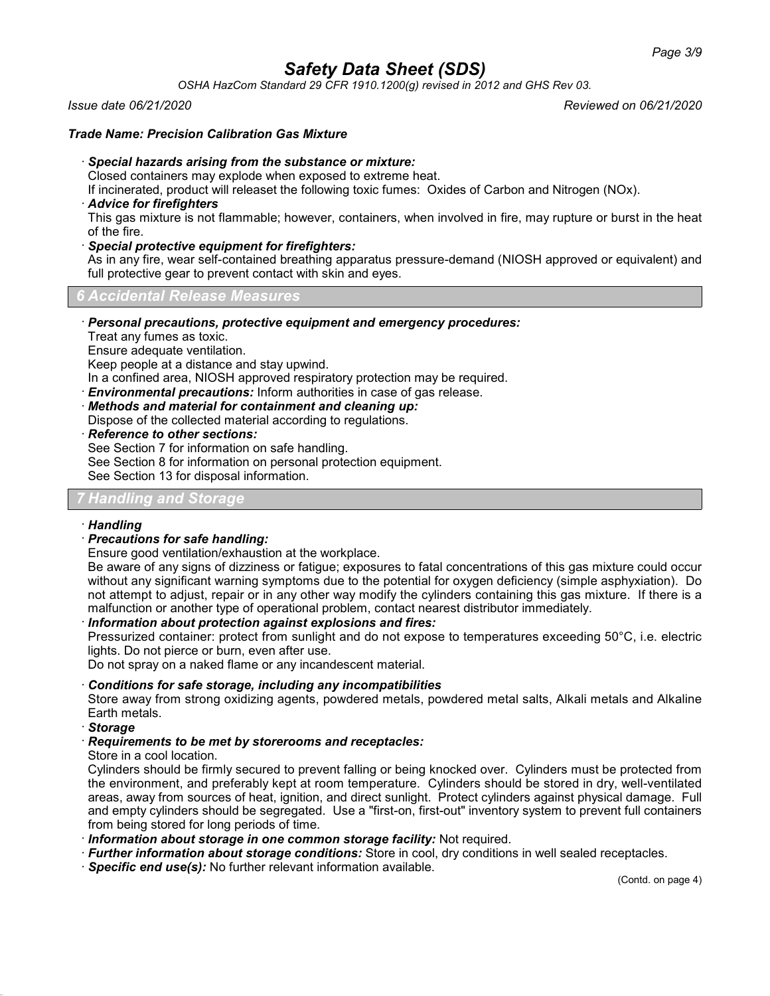*OSHA HazCom Standard 29 CFR 1910.1200(g) revised in 2012 and GHS Rev 03.*

### *Issue date 06/21/2020 Reviewed on 06/21/2020*

### *Trade Name: Precision Calibration Gas Mixture*

### · *Special hazards arising from the substance or mixture:*

Closed containers may explode when exposed to extreme heat.

If incinerated, product will releaset the following toxic fumes: Oxides of Carbon and Nitrogen (NOx).

### · *Advice for firefighters*

This gas mixture is not flammable; however, containers, when involved in fire, may rupture or burst in the heat of the fire.

### · *Special protective equipment for firefighters:*

As in any fire, wear self-contained breathing apparatus pressure-demand (NIOSH approved or equivalent) and full protective gear to prevent contact with skin and eyes.

### *6 Accidental Release Measures*

· *Personal precautions, protective equipment and emergency procedures:*

Treat any fumes as toxic.

Ensure adequate ventilation.

Keep people at a distance and stay upwind.

In a confined area, NIOSH approved respiratory protection may be required.

· *Environmental precautions:* Inform authorities in case of gas release.

· *Methods and material for containment and cleaning up:*

Dispose of the collected material according to regulations.

· *Reference to other sections:*

See Section 7 for information on safe handling.

See Section 8 for information on personal protection equipment.

See Section 13 for disposal information.

### *7 Handling and Storage*

### · *Handling*

### · *Precautions for safe handling:*

Ensure good ventilation/exhaustion at the workplace.

Be aware of any signs of dizziness or fatigue; exposures to fatal concentrations of this gas mixture could occur without any significant warning symptoms due to the potential for oxygen deficiency (simple asphyxiation). Do not attempt to adjust, repair or in any other way modify the cylinders containing this gas mixture. If there is a malfunction or another type of operational problem, contact nearest distributor immediately.

### · *Information about protection against explosions and fires:*

Pressurized container: protect from sunlight and do not expose to temperatures exceeding 50°C, i.e. electric lights. Do not pierce or burn, even after use.

Do not spray on a naked flame or any incandescent material.

### · *Conditions for safe storage, including any incompatibilities*

Store away from strong oxidizing agents, powdered metals, powdered metal salts, Alkali metals and Alkaline Earth metals.

· *Storage*

### · *Requirements to be met by storerooms and receptacles:*

Store in a cool location.

Cylinders should be firmly secured to prevent falling or being knocked over. Cylinders must be protected from the environment, and preferably kept at room temperature. Cylinders should be stored in dry, well-ventilated areas, away from sources of heat, ignition, and direct sunlight. Protect cylinders against physical damage. Full and empty cylinders should be segregated. Use a "first-on, first-out" inventory system to prevent full containers from being stored for long periods of time.

- · *Information about storage in one common storage facility:* Not required.
- · *Further information about storage conditions:* Store in cool, dry conditions in well sealed receptacles.
- · *Specific end use(s):* No further relevant information available.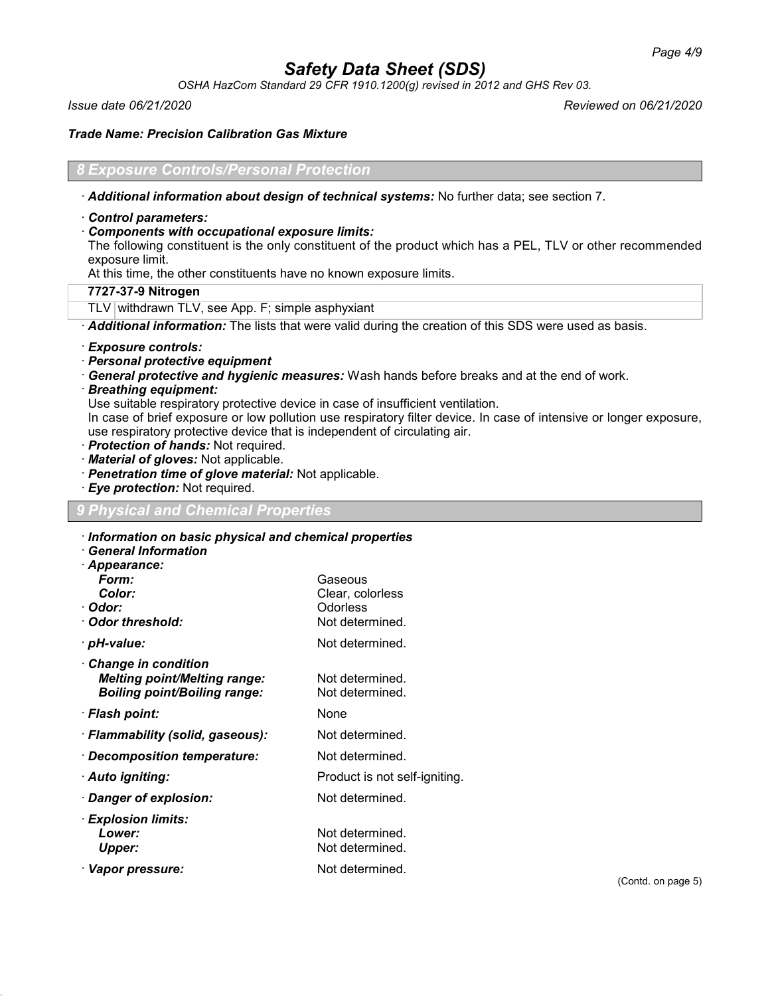*OSHA HazCom Standard 29 CFR 1910.1200(g) revised in 2012 and GHS Rev 03.*

*Issue date 06/21/2020 Reviewed on 06/21/2020*

*Trade Name: Precision Calibration Gas Mixture*

### *8 Exposure Controls/Personal Protection*

· *Additional information about design of technical systems:* No further data; see section 7.

### · *Control parameters:*

### · *Components with occupational exposure limits:*

The following constituent is the only constituent of the product which has a PEL, TLV or other recommended exposure limit.

At this time, the other constituents have no known exposure limits.

### **7727-37-9 Nitrogen**

TLV withdrawn TLV, see App. F; simple asphyxiant

· *Additional information:* The lists that were valid during the creation of this SDS were used as basis.

### · *Exposure controls:*

- · *Personal protective equipment*
- · *General protective and hygienic measures:* Wash hands before breaks and at the end of work.
- · *Breathing equipment:*

Use suitable respiratory protective device in case of insufficient ventilation.

In case of brief exposure or low pollution use respiratory filter device. In case of intensive or longer exposure, use respiratory protective device that is independent of circulating air.

- · *Protection of hands:* Not required.
- · *Material of gloves:* Not applicable.
- · *Penetration time of glove material:* Not applicable.
- · *Eye protection:* Not required.

### *9 Physical and Chemical Properties*

### · *Information on basic physical and chemical properties*

· *General Information*

| · Appearance:                       |                               |
|-------------------------------------|-------------------------------|
| Form:                               | Gaseous                       |
| Color:                              | Clear, colorless              |
| · Odor:                             | Odorless                      |
| Odor threshold:                     | Not determined.               |
| · pH-value:                         | Not determined.               |
| Change in condition                 |                               |
| <b>Melting point/Melting range:</b> | Not determined.               |
| <b>Boiling point/Boiling range:</b> | Not determined.               |
| · Flash point:                      | None                          |
| · Flammability (solid, gaseous):    | Not determined.               |
| · Decomposition temperature:        | Not determined.               |
| · Auto igniting:                    | Product is not self-igniting. |
| · Danger of explosion:              | Not determined.               |
| $\cdot$ Explosion limits:           |                               |
| Lower:                              | Not determined.               |
| Upper:                              | Not determined.               |
| · Vapor pressure:                   | Not determined.               |
|                                     |                               |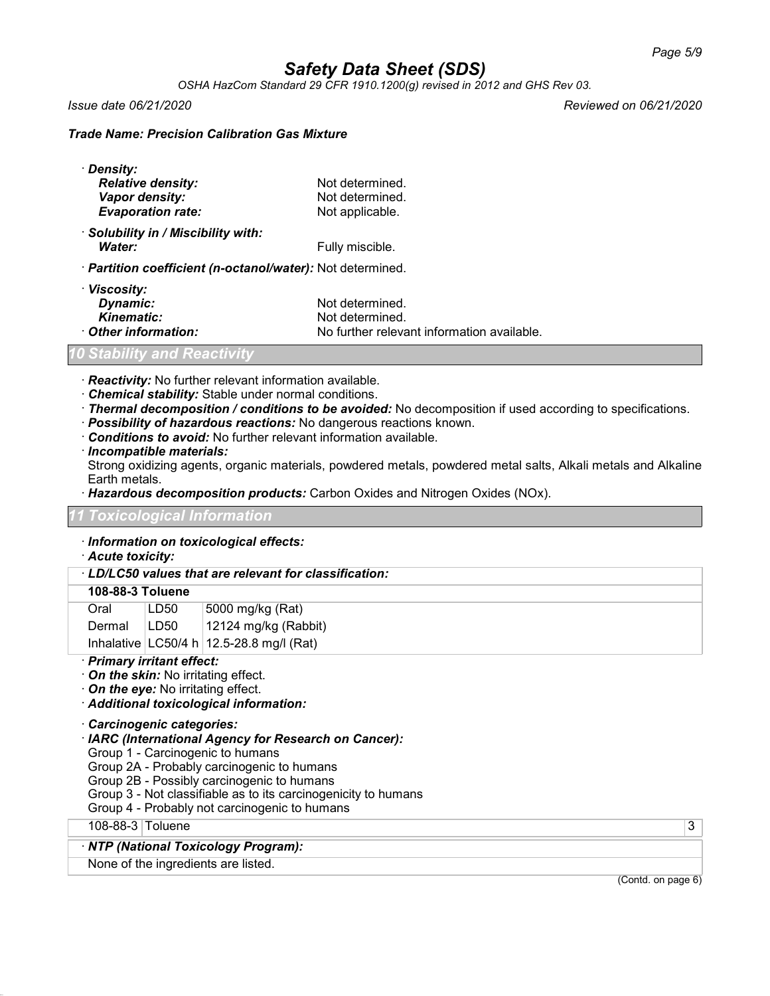*OSHA HazCom Standard 29 CFR 1910.1200(g) revised in 2012 and GHS Rev 03.*

*Issue date 06/21/2020 Reviewed on 06/21/2020*

### *Trade Name: Precision Calibration Gas Mixture*

| · Density:                                                 |                 |  |
|------------------------------------------------------------|-----------------|--|
| <b>Relative density:</b>                                   | Not determined. |  |
| Vapor density:                                             | Not determined. |  |
| <b>Evaporation rate:</b>                                   | Not applicable. |  |
| · Solubility in / Miscibility with:                        |                 |  |
| Water:                                                     | Fully miscible. |  |
| · Partition coefficient (n-octanol/water): Not determined. |                 |  |
| · Viscosity:                                               |                 |  |
| Dynamic:                                                   | Not determined. |  |

**Kinematic:** Not determined.<br> **Other information:** No further relevant · *Other information:* No further relevant information available.

### *10 Stability and Reactivity*

· *Reactivity:* No further relevant information available.

- · *Chemical stability:* Stable under normal conditions.
- · *Thermal decomposition / conditions to be avoided:* No decomposition if used according to specifications.
- · *Possibility of hazardous reactions:* No dangerous reactions known.
- · *Conditions to avoid:* No further relevant information available.
- · *Incompatible materials:*

Strong oxidizing agents, organic materials, powdered metals, powdered metal salts, Alkali metals and Alkaline Earth metals.

· *Hazardous decomposition products:* Carbon Oxides and Nitrogen Oxides (NOx).

### *11 Toxicological Information*

- · *Information on toxicological effects:*
- · *Acute toxicity:*

### · *LD/LC50 values that are relevant for classification:*

### **108-88-3 Toluene**

| Oral   | LD50 | 5000 mg/kg (Rat)                             |
|--------|------|----------------------------------------------|
| Dermal | LD50 | 12124 mg/kg (Rabbit)                         |
|        |      | Inhalative $ LC50/4 h $ 12.5-28.8 mg/l (Rat) |

### · *Primary irritant effect:*

- · *On the skin:* No irritating effect.
- · *On the eye:* No irritating effect.
- · *Additional toxicological information:*

· *Carcinogenic categories:*

- · *IARC (International Agency for Research on Cancer):*
- Group 1 Carcinogenic to humans
- Group 2A Probably carcinogenic to humans
- Group 2B Possibly carcinogenic to humans
- Group 3 Not classifiable as to its carcinogenicity to humans
- Group 4 Probably not carcinogenic to humans

108-88-3 Toluene 3

#### · *NTP (National Toxicology Program):*

None of the ingredients are listed.

(Contd. on page 6)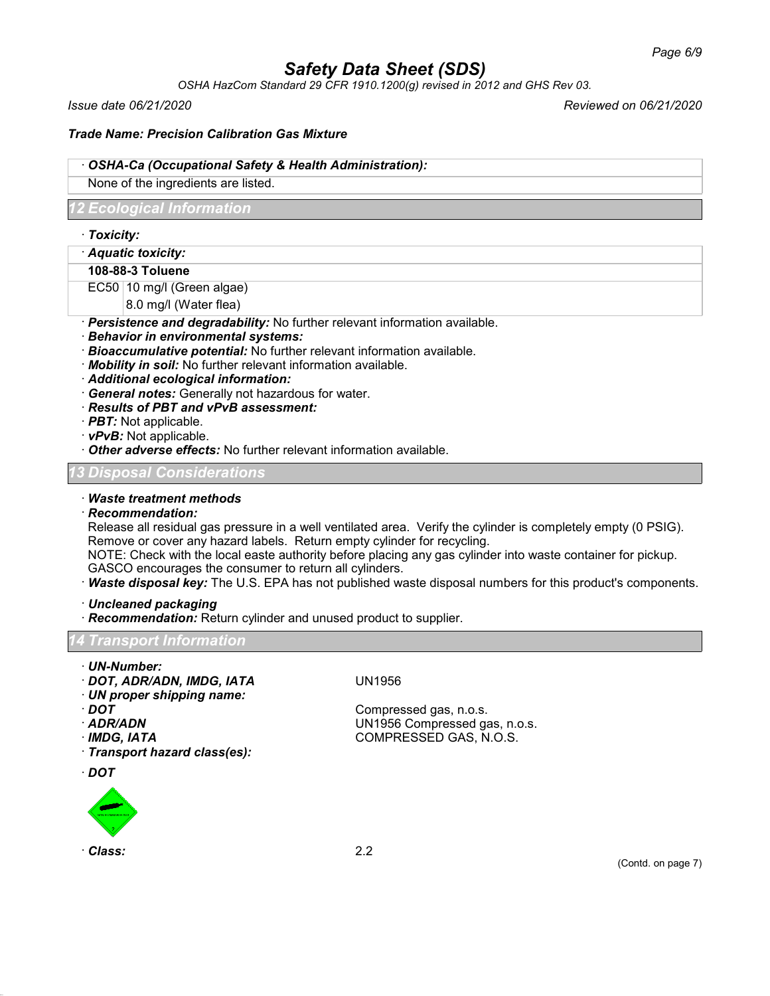*OSHA HazCom Standard 29 CFR 1910.1200(g) revised in 2012 and GHS Rev 03.*

*Issue date 06/21/2020 Reviewed on 06/21/2020*

### *Trade Name: Precision Calibration Gas Mixture*

### · *OSHA-Ca (Occupational Safety & Health Administration):*

None of the ingredients are listed.

### *12 Ecological Information*

- · *Toxicity:*
- · *Aquatic toxicity:*
- **108-88-3 Toluene**
- EC50 10 mg/l (Green algae)
	- 8.0 mg/l (Water flea)
- · *Persistence and degradability:* No further relevant information available.
- · *Behavior in environmental systems:*
- · *Bioaccumulative potential:* No further relevant information available.
- · *Mobility in soil:* No further relevant information available.
- · *Additional ecological information:*
- · *General notes:* Generally not hazardous for water.
- · *Results of PBT and vPvB assessment:*
- · *PBT:* Not applicable.
- · *vPvB:* Not applicable.
- · *Other adverse effects:* No further relevant information available.

### *13 Disposal Considerations*

### · *Waste treatment methods*

· *Recommendation:*

Release all residual gas pressure in a well ventilated area. Verify the cylinder is completely empty (0 PSIG). Remove or cover any hazard labels. Return empty cylinder for recycling.

NOTE: Check with the local easte authority before placing any gas cylinder into waste container for pickup. GASCO encourages the consumer to return all cylinders.

- · *Waste disposal key:* The U.S. EPA has not published waste disposal numbers for this product's components.
- · *Uncleaned packaging*
- · *Recommendation:* Return cylinder and unused product to supplier.

### *14 Transport Information*

- · *UN-Number:*
- · *DOT, ADR/ADN, IMDG, IATA* UN1956
- · *UN proper shipping name:*
- 
- 
- 
- · *Transport hazard class(es):*
- · *DOT*



· *Class:* 2.2

· *DOT* Compressed gas, n.o.s. · *ADR/ADN* UN1956 Compressed gas, n.o.s. · *IMDG, IATA* COMPRESSED GAS, N.O.S.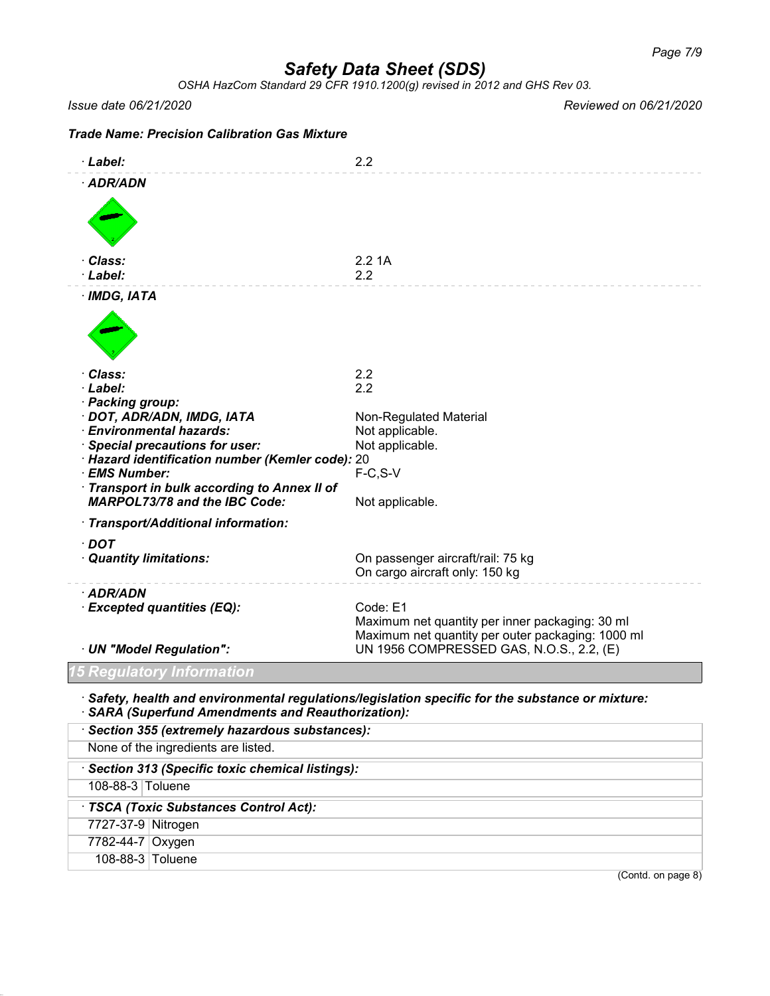*OSHA HazCom Standard 29 CFR 1910.1200(g) revised in 2012 and GHS Rev 03.*

*Issue date 06/21/2020 Reviewed on 06/21/2020*

| <b>Trade Name: Precision Calibration Gas Mixture</b>              |                                                                                                                  |
|-------------------------------------------------------------------|------------------------------------------------------------------------------------------------------------------|
| · Label:                                                          | 2.2                                                                                                              |
| · ADR/ADN                                                         |                                                                                                                  |
| · Class:<br>· Label:                                              | 2.21A<br>2.2                                                                                                     |
| $·$ IMDG, IATA                                                    |                                                                                                                  |
| · Class:                                                          | 2.2                                                                                                              |
| · Label:                                                          | 2.2                                                                                                              |
| · Packing group:<br>· DOT, ADR/ADN, IMDG, IATA                    | <b>Non-Regulated Material</b>                                                                                    |
| · Environmental hazards:                                          | Not applicable.                                                                                                  |
| · Special precautions for user:                                   | Not applicable.                                                                                                  |
| · Hazard identification number (Kemler code): 20<br>· EMS Number: | $F-C, S-V$                                                                                                       |
| · Transport in bulk according to Annex II of                      |                                                                                                                  |
| <b>MARPOL73/78 and the IBC Code:</b>                              | Not applicable.                                                                                                  |
| · Transport/Additional information:                               |                                                                                                                  |
| $\cdot$ DOT<br>· Quantity limitations:                            | On passenger aircraft/rail: 75 kg<br>On cargo aircraft only: 150 kg                                              |
| · ADR/ADN                                                         |                                                                                                                  |
| · Excepted quantities (EQ):                                       | Code: E1<br>Maximum net quantity per inner packaging: 30 ml<br>Maximum net quantity per outer packaging: 1000 ml |
| · UN "Model Regulation":                                          | UN 1956 COMPRESSED GAS, N.O.S., 2.2, (E)                                                                         |
| <b>15 Regulatory Information</b>                                  |                                                                                                                  |
| · SARA (Superfund Amendments and Reauthorization):                | $\cdot$ Safety, health and environmental regulations/legislation specific for the substance or mixture:          |
| · Section 355 (extremely hazardous substances):                   |                                                                                                                  |

None of the ingredients are listed.

· *Section 313 (Specific toxic chemical listings):*

108-88-3 Toluene

## · *TSCA (Toxic Substances Control Act):*

7727-37-9 Nitrogen

7782-44-7 Oxygen

108-88-3 Toluene

(Contd. on page 8)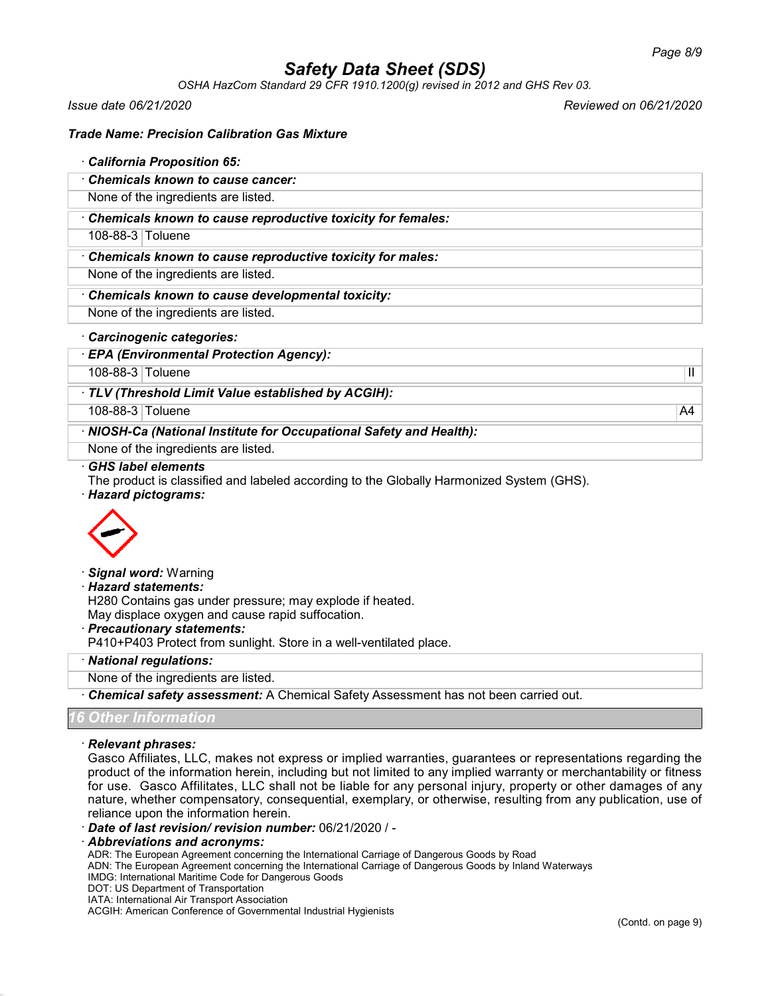*OSHA HazCom Standard 29 CFR 1910.1200(g) revised in 2012 and GHS Rev 03.*

*Issue date 06/21/2020 Reviewed on 06/21/2020*

### *Trade Name: Precision Calibration Gas Mixture*

| California Proposition 65:                                  |
|-------------------------------------------------------------|
| Chemicals known to cause cancer:                            |
| None of the ingredients are listed.                         |
| Chemicals known to cause reproductive toxicity for females: |
| 108-88-3 Toluene                                            |
| Chemicals known to cause reproductive toxicity for males:   |
| None of the ingredients are listed.                         |
| Chemicals known to cause developmental toxicity:            |
| None of the ingredients are listed.                         |
| · Carcinogenic categories:                                  |
| <b>EPA (Environmental Protection Agency):</b>               |

108-88-3 Toluene II

### · *TLV (Threshold Limit Value established by ACGIH):*

108-88-3 Toluene A4

· *NIOSH-Ca (National Institute for Occupational Safety and Health):*

None of the ingredients are listed.

#### · *GHS label elements*

The product is classified and labeled according to the Globally Harmonized System (GHS).

#### · *Hazard pictograms:*



· *Signal word:* Warning

#### · *Hazard statements:*

H280 Contains gas under pressure; may explode if heated.

May displace oxygen and cause rapid suffocation.

· *Precautionary statements:*

P410+P403 Protect from sunlight. Store in a well-ventilated place.

· *National regulations:*

None of the ingredients are listed.

· *Chemical safety assessment:* A Chemical Safety Assessment has not been carried out.

### *<u>Other Informa</u>*

#### · *Relevant phrases:*

Gasco Affiliates, LLC, makes not express or implied warranties, guarantees or representations regarding the product of the information herein, including but not limited to any implied warranty or merchantability or fitness for use. Gasco Affilitates, LLC shall not be liable for any personal injury, property or other damages of any nature, whether compensatory, consequential, exemplary, or otherwise, resulting from any publication, use of reliance upon the information herein.

· *Date of last revision/ revision number:* 06/21/2020 / -

#### · *Abbreviations and acronyms:*

ADR: The European Agreement concerning the International Carriage of Dangerous Goods by Road

ADN: The European Agreement concerning the International Carriage of Dangerous Goods by Inland Waterways

- IMDG: International Maritime Code for Dangerous Goods
- DOT: US Department of Transportation

IATA: International Air Transport Association

ACGIH: American Conference of Governmental Industrial Hygienists